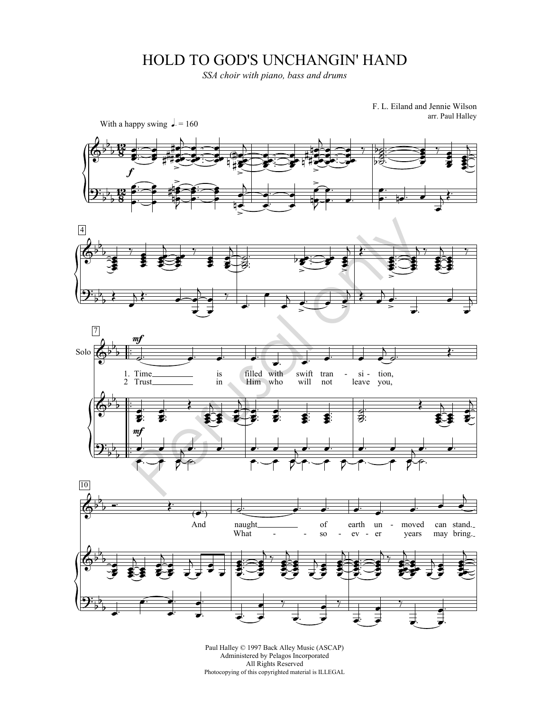## HOLD TO GOD'S UNCHANGIN' HAND

*SSA choir with piano, bass and drums*

F. L. Eiland and Jennie Wilson arr. Paul Halley



Paul Halley © 1997 Back Alley Music (ASCAP) Administered by Pelagos Incorporated All Rights Reserved Photocopying of this copyrighted material is ILLEGAL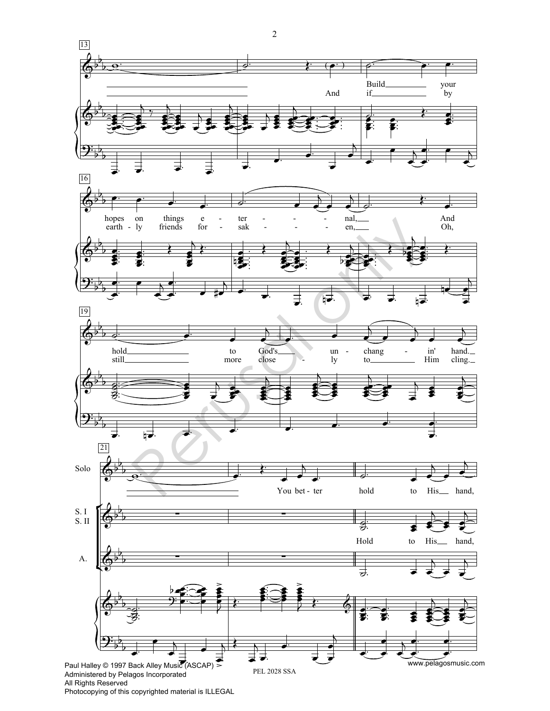

Photocopying of this copyrighted material is ILLEGAL